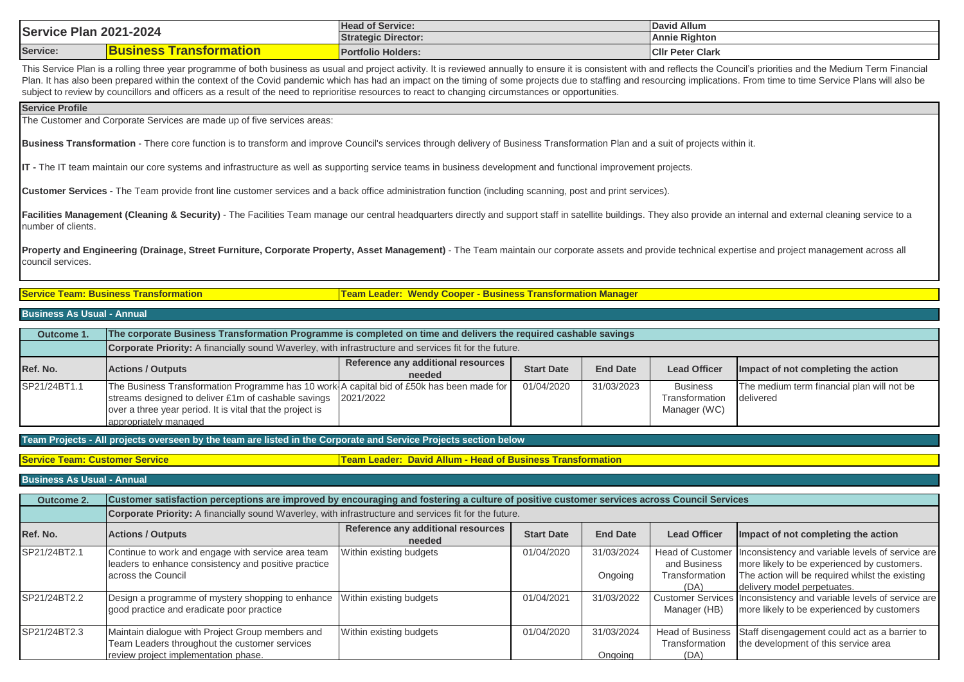| Plan<br><b>Service</b><br>2021-2024 |                                                                 | <b>Head of Service:</b>    | David Allum             |
|-------------------------------------|-----------------------------------------------------------------|----------------------------|-------------------------|
|                                     |                                                                 | <b>Strategic Director:</b> | <b>Annie Righton</b>    |
| Service:                            | <b>EQUADE AFRACTS</b><br><b>Siness</b><br><u>Fransformation</u> | <b>Portfolio Holders:</b>  | <b>CIIr Peter Clark</b> |

This Service Plan is a rolling three year programme of both business as usual and project activity. It is reviewed annually to ensure it is consistent with and reflects the Council's priorities and the Medium Term Financia Plan. It has also been prepared within the context of the Covid pandemic which has had an impact on the timing of some projects due to staffing and resourcing implications. From time to time Service Plans will also be subject to review by councillors and officers as a result of the need to reprioritise resources to react to changing circumstances or opportunities.

### **Service Profile**

The Customer and Corporate Services are made up of five services areas:

**Business Transformation** - There core function is to transform and improve Council's services through delivery of Business Transformation Plan and a suit of projects within it.

**IT -** The IT team maintain our core systems and infrastructure as well as supporting service teams in business development and functional improvement projects.

**Customer Services -** The Team provide front line customer services and a back office administration function (including scanning, post and print services).

Facilities Management (Cleaning & Security) - The Facilities Team manage our central headquarters directly and support staff in satellite buildings. They also provide an internal and external cleaning service to a number of clients.

Property and Engineering (Drainage, Street Furniture, Corporate Property, Asset Management) - The Team maintain our corporate assets and provide technical expertise and project management across all council services.

**Service Team: Business Transformation Team Leader: Wendy Cooper - Business Transformation Manager**

### **Business As Usual - Annual**

| Outcome 1    | The corporate Business Transformation Programme is completed on time and delivers the required cashable savings                                                                                                                                  |                                              |                   |                 |                                                   |                                                         |  |
|--------------|--------------------------------------------------------------------------------------------------------------------------------------------------------------------------------------------------------------------------------------------------|----------------------------------------------|-------------------|-----------------|---------------------------------------------------|---------------------------------------------------------|--|
|              | Corporate Priority: A financially sound Waverley, with infrastructure and services fit for the future.                                                                                                                                           |                                              |                   |                 |                                                   |                                                         |  |
| Ref. No.     | <b>Actions / Outputs</b>                                                                                                                                                                                                                         | Reference any additional resources<br>needed | <b>Start Date</b> | <b>End Date</b> | <b>Lead Officer</b>                               | Impact of not completing the action                     |  |
| SP21/24BT1.1 | The Business Transformation Programme has 10 work A capital bid of £50k has been made for<br>streams designed to deliver £1m of cashable savings 2021/2022<br>over a three year period. It is vital that the project is<br>appropriately managed |                                              | 01/04/2020        | 31/03/2023      | <b>Business</b><br>Transformation<br>Manager (WC) | The medium term financial plan will not be<br>delivered |  |

**Team Projects - All projects overseen by the team are listed in the Corporate and Service Projects section below**

**Service Team: Customer Service Team Leader: David Allum - Head of Business Transformation**

### **Business As Usual - Annual**

| <b>Outcome 2.</b> | Customer satisfaction perceptions are improved by encouraging and fostering a culture of positive customer services across Council Services |                                              |                   |                       |                                                           |                                                                                                                                                    |  |  |
|-------------------|---------------------------------------------------------------------------------------------------------------------------------------------|----------------------------------------------|-------------------|-----------------------|-----------------------------------------------------------|----------------------------------------------------------------------------------------------------------------------------------------------------|--|--|
|                   | Corporate Priority: A financially sound Waverley, with infrastructure and services fit for the future.                                      |                                              |                   |                       |                                                           |                                                                                                                                                    |  |  |
| Ref. No.          | <b>Actions / Outputs</b>                                                                                                                    | Reference any additional resources<br>needed | <b>Start Date</b> | <b>End Date</b>       | <b>Lead Officer</b>                                       | Impact of not completing the action                                                                                                                |  |  |
| SP21/24BT2.1      | Continue to work and engage with service area team<br>leaders to enhance consistency and positive practice<br>across the Council            | Within existing budgets                      | 01/04/2020        | 31/03/2024<br>Ongoing | <b>Head of Customer</b><br>and Business<br>Transformation | Inconsistency and variable levels of service are<br>more likely to be experienced by customers.<br>The action will be required whilst the existing |  |  |
|                   |                                                                                                                                             |                                              |                   |                       | (DA)                                                      | delivery model perpetuates.                                                                                                                        |  |  |
| SP21/24BT2.2      | Design a programme of mystery shopping to enhance<br>good practice and eradicate poor practice                                              | Within existing budgets                      | 01/04/2021        | 31/03/2022            | Manager (HB)                                              | Customer Services Inconsistency and variable levels of service are<br>more likely to be experienced by customers                                   |  |  |
| SP21/24BT2.3      | Maintain dialogue with Project Group members and<br>Team Leaders throughout the customer services<br>review project implementation phase.   | Within existing budgets                      | 01/04/2020        | 31/03/2024<br>Ongoing | <b>Head of Business</b><br>Transformation<br>(DA)         | Staff disengagement could act as a barrier to<br>the development of this service area                                                              |  |  |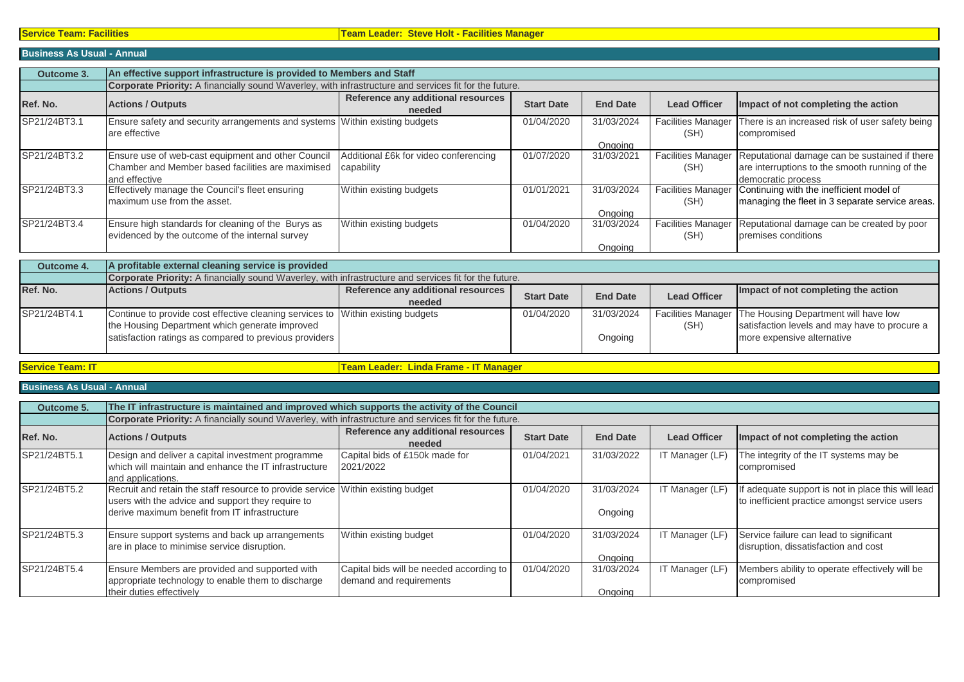# **Business As Usual - Annual**

| Outcome 3.   | An effective support infrastructure is provided to Members and Staff                                                     |                                                     |                   |                       |                                   |                                                                                                                       |  |  |  |
|--------------|--------------------------------------------------------------------------------------------------------------------------|-----------------------------------------------------|-------------------|-----------------------|-----------------------------------|-----------------------------------------------------------------------------------------------------------------------|--|--|--|
|              | <b>Corporate Priority:</b> A financially sound Waverley, with infrastructure and services fit for the future.            |                                                     |                   |                       |                                   |                                                                                                                       |  |  |  |
| Ref. No.     | <b>Actions / Outputs</b>                                                                                                 | Reference any additional resources<br>needed        | <b>Start Date</b> | <b>End Date</b>       | <b>Lead Officer</b>               | Impact of not completing the action                                                                                   |  |  |  |
| SP21/24BT3.1 | Ensure safety and security arrangements and systems Within existing budgets<br>are effective                             |                                                     | 01/04/2020        | 31/03/2024<br>Ongoing | <b>Facilities Manager</b><br>(SH) | There is an increased risk of user safety being<br>compromised                                                        |  |  |  |
| SP21/24BT3.2 | Ensure use of web-cast equipment and other Council<br>Chamber and Member based facilities are maximised<br>and effective | Additional £6k for video conferencing<br>capability | 01/07/2020        | 31/03/2021            | <b>Facilities Manager</b><br>(SH) | Reputational damage can be sustained if there<br>are interruptions to the smooth running of the<br>democratic process |  |  |  |
| SP21/24BT3.3 | Effectively manage the Council's fleet ensuring<br>maximum use from the asset.                                           | Within existing budgets                             | 01/01/2021        | 31/03/2024<br>Ongoing | <b>Facilities Manager</b><br>(SH) | Continuing with the inefficient model of<br>managing the fleet in 3 separate service areas.                           |  |  |  |
| SP21/24BT3.4 | Ensure high standards for cleaning of the Burys as<br>evidenced by the outcome of the internal survey                    | Within existing budgets                             | 01/04/2020        | 31/03/2024<br>Ongoing | <b>Facilities Manager</b><br>(SH) | Reputational damage can be created by poor<br>premises conditions                                                     |  |  |  |

| Outcome 4.   | A profitable external cleaning service is provided                                                            |                                    |                   |                 |                     |                                                         |
|--------------|---------------------------------------------------------------------------------------------------------------|------------------------------------|-------------------|-----------------|---------------------|---------------------------------------------------------|
|              | <b>Corporate Priority:</b> A financially sound Waverley, with infrastructure and services fit for the future. |                                    |                   |                 |                     |                                                         |
| Ref. No.     | <b>Actions / Outputs</b>                                                                                      | Reference any additional resources | <b>Start Date</b> | <b>End Date</b> | <b>Lead Officer</b> | Impact of not completing the action                     |
|              |                                                                                                               | needed                             |                   |                 |                     |                                                         |
| SP21/24BT4.1 | Continue to provide cost effective cleaning services to Within existing budgets                               |                                    | 01/04/2020        | 31/03/2024      |                     | Facilities Manager The Housing Department will have low |
|              | the Housing Department which generate improved                                                                |                                    |                   |                 | (SH)                | satisfaction levels and may have to procure a           |
|              | satisfaction ratings as compared to previous providers                                                        |                                    |                   | Ongoing         |                     | more expensive alternative                              |
|              |                                                                                                               |                                    |                   |                 |                     |                                                         |

**Service Team: IT Team Leader: Linda Frame - IT Manager**

## **Business As Usual - Annual**

| Outcome 5.   | The IT infrastructure is maintained and improved which supports the activity of the Council                                                                                           |                                                                     |                   |                       |                     |                                                                                                     |  |  |
|--------------|---------------------------------------------------------------------------------------------------------------------------------------------------------------------------------------|---------------------------------------------------------------------|-------------------|-----------------------|---------------------|-----------------------------------------------------------------------------------------------------|--|--|
|              | Corporate Priority: A financially sound Waverley, with infrastructure and services fit for the future.                                                                                |                                                                     |                   |                       |                     |                                                                                                     |  |  |
| Ref. No.     | <b>Actions / Outputs</b>                                                                                                                                                              | Reference any additional resources<br>needed                        | <b>Start Date</b> | <b>End Date</b>       | <b>Lead Officer</b> | Impact of not completing the action                                                                 |  |  |
| SP21/24BT5.1 | Design and deliver a capital investment programme<br>which will maintain and enhance the IT infrastructure<br>and applications.                                                       | Capital bids of £150k made for<br>2021/2022                         | 01/04/2021        | 31/03/2022            | IT Manager (LF)     | The integrity of the IT systems may be<br>compromised                                               |  |  |
| SP21/24BT5.2 | Recruit and retain the staff resource to provide service Within existing budget<br>users with the advice and support they require to<br>derive maximum benefit from IT infrastructure |                                                                     | 01/04/2020        | 31/03/2024<br>Ongoing | IT Manager (LF)     | If adequate support is not in place this will lead<br>to inefficient practice amongst service users |  |  |
| SP21/24BT5.3 | Ensure support systems and back up arrangements<br>are in place to minimise service disruption.                                                                                       | Within existing budget                                              | 01/04/2020        | 31/03/2024<br>Ongoing | IT Manager (LF)     | Service failure can lead to significant<br>disruption, dissatisfaction and cost                     |  |  |
| SP21/24BT5.4 | Ensure Members are provided and supported with<br>appropriate technology to enable them to discharge<br>their duties effectively                                                      | Capital bids will be needed according to<br>demand and requirements | 01/04/2020        | 31/03/2024<br>Ongoing | IT Manager (LF)     | Members ability to operate effectively will be<br>compromised                                       |  |  |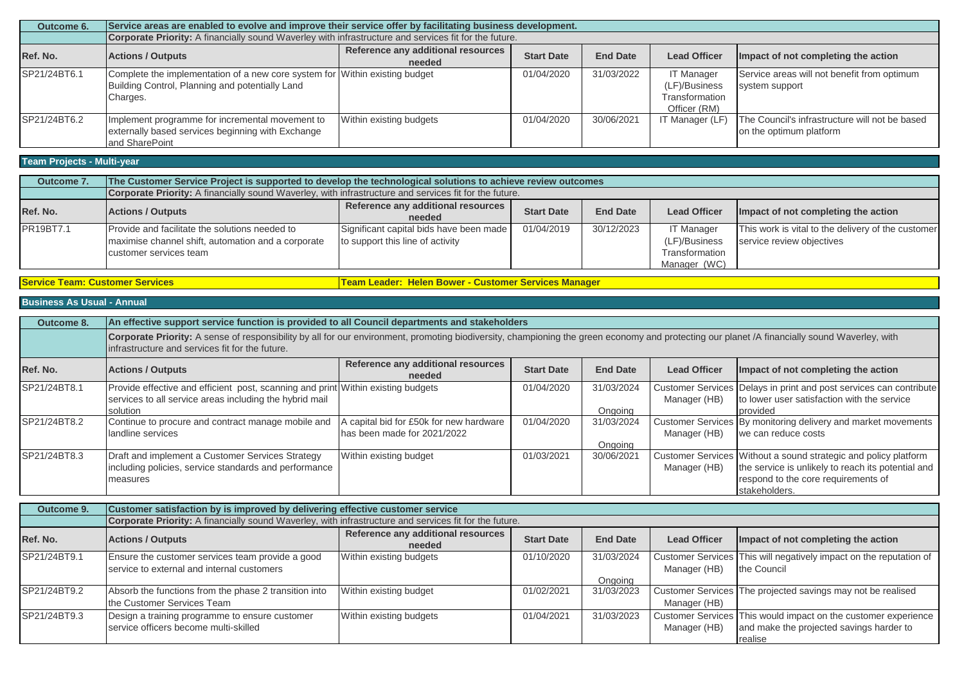| Outcome 6.   | Service areas are enabled to evolve and improve their service offer by facilitating business development. |                                    |                   |                 |                     |                                                |  |
|--------------|-----------------------------------------------------------------------------------------------------------|------------------------------------|-------------------|-----------------|---------------------|------------------------------------------------|--|
|              | Corporate Priority: A financially sound Waverley with infrastructure and services fit for the future.     |                                    |                   |                 |                     |                                                |  |
| Ref. No.     | <b>Actions / Outputs</b>                                                                                  | Reference any additional resources | <b>Start Date</b> | <b>End Date</b> | <b>Lead Officer</b> | Impact of not completing the action            |  |
|              |                                                                                                           | needed                             |                   |                 |                     |                                                |  |
| SP21/24BT6.1 | Complete the implementation of a new core system for Within existing budget                               |                                    | 01/04/2020        | 31/03/2022      | <b>IT Manager</b>   | Service areas will not benefit from optimum    |  |
|              | Building Control, Planning and potentially Land                                                           |                                    |                   |                 | (LF)/Business       | system support                                 |  |
|              | Charges.                                                                                                  |                                    |                   |                 | Transformation      |                                                |  |
|              |                                                                                                           |                                    |                   |                 | Officer (RM)        |                                                |  |
| SP21/24BT6.2 | Implement programme for incremental movement to                                                           | Within existing budgets            | 01/04/2020        | 30/06/2021      | IT Manager (LF)     | The Council's infrastructure will not be based |  |
|              | externally based services beginning with Exchange                                                         |                                    |                   |                 |                     | on the optimum platform                        |  |
|              | and SharePoint                                                                                            |                                    |                   |                 |                     |                                                |  |

# **Team Projects - Multi-year**

| Outcome 7. | The Customer Service Project is supported to develop the technological solutions to achieve review outcomes |                                         |                   |                 |                     |                                                    |  |
|------------|-------------------------------------------------------------------------------------------------------------|-----------------------------------------|-------------------|-----------------|---------------------|----------------------------------------------------|--|
|            | Corporate Priority: A financially sound Waverley, with infrastructure and services fit for the future.      |                                         |                   |                 |                     |                                                    |  |
| Ref. No.   | <b>Actions / Outputs</b>                                                                                    | Reference any additional resources      | <b>Start Date</b> | <b>End Date</b> | <b>Lead Officer</b> | Impact of not completing the action                |  |
|            |                                                                                                             | needed                                  |                   |                 |                     |                                                    |  |
| PR19BT7.1  | Provide and facilitate the solutions needed to                                                              | Significant capital bids have been made | 01/04/2019        | 30/12/2023      | <b>IT Manager</b>   | This work is vital to the delivery of the customer |  |
|            | maximise channel shift, automation and a corporate                                                          | to support this line of activity        |                   |                 | (LF)/Business       | service review objectives                          |  |
|            | customer services team                                                                                      |                                         |                   |                 | Transformation      |                                                    |  |
|            |                                                                                                             |                                         |                   |                 | Manager (WC)        |                                                    |  |

# **Service Team: Customer Services Team Leader: Helen Bower - Customer Services Manager**

## **Business As Usual - Annual**

| Outcome 8.                       | An effective support service function is provided to all Council departments and stakeholders                                                                                                                                                    |                                                                      |                   |                       |                     |                                                                                                                                                                               |  |
|----------------------------------|--------------------------------------------------------------------------------------------------------------------------------------------------------------------------------------------------------------------------------------------------|----------------------------------------------------------------------|-------------------|-----------------------|---------------------|-------------------------------------------------------------------------------------------------------------------------------------------------------------------------------|--|
|                                  | Corporate Priority: A sense of responsibility by all for our environment, promoting biodiversity, championing the green economy and protecting our planet /A financially sound Waverley, with<br>infrastructure and services fit for the future. |                                                                      |                   |                       |                     |                                                                                                                                                                               |  |
| Ref. No.                         | <b>Actions / Outputs</b>                                                                                                                                                                                                                         | Reference any additional resources<br>needed                         | <b>Start Date</b> | <b>End Date</b>       | <b>Lead Officer</b> | Impact of not completing the action                                                                                                                                           |  |
| SP21/24BT8.1                     | Provide effective and efficient post, scanning and print Within existing budgets<br>services to all service areas including the hybrid mail<br>solution                                                                                          |                                                                      | 01/04/2020        | 31/03/2024<br>Onaoina | Manager (HB)        | Customer Services Delays in print and post services can contribute<br>to lower user satisfaction with the service<br>provided                                                 |  |
| SP21/24BT8.2                     | Continue to procure and contract manage mobile and<br>landline services                                                                                                                                                                          | capital bid for £50k for new hardware<br>has been made for 2021/2022 | 01/04/2020        | 31/03/2024<br>Ongoing | Manager (HB)        | Customer Services By monitoring delivery and market movements<br>we can reduce costs                                                                                          |  |
| SP21/24BT8.3                     | Draft and implement a Customer Services Strategy<br>including policies, service standards and performance<br>measures                                                                                                                            | Within existing budget                                               | 01/03/2021        | 30/06/2021            | Manager (HB)        | Customer Services Without a sound strategic and policy platform<br>the service is unlikely to reach its potential and<br>respond to the core requirements of<br>stakeholders. |  |
| $Q1$ , $\Delta R2$ , $\Delta R3$ | Customer setisfaction by is improved by delivering effective quotamer service                                                                                                                                                                    |                                                                      |                   |                       |                     |                                                                                                                                                                               |  |

| Outcome 9.   | Customer satisfaction by is improved by delivering effective customer service                          |                                              |                   |                 |                     |                                                                    |  |  |
|--------------|--------------------------------------------------------------------------------------------------------|----------------------------------------------|-------------------|-----------------|---------------------|--------------------------------------------------------------------|--|--|
|              | Corporate Priority: A financially sound Waverley, with infrastructure and services fit for the future. |                                              |                   |                 |                     |                                                                    |  |  |
| Ref. No.     | <b>Actions / Outputs</b>                                                                               | Reference any additional resources<br>needed | <b>Start Date</b> | <b>End Date</b> | <b>Lead Officer</b> | Impact of not completing the action                                |  |  |
| SP21/24BT9.1 | Ensure the customer services team provide a good                                                       | Within existing budgets                      | 01/10/2020        | 31/03/2024      |                     | Customer Services This will negatively impact on the reputation of |  |  |
|              | service to external and internal customers                                                             |                                              |                   |                 | Manager (HB)        | the Council                                                        |  |  |
|              |                                                                                                        |                                              |                   | Ongoing         |                     |                                                                    |  |  |
| SP21/24BT9.2 | Absorb the functions from the phase 2 transition into                                                  | Within existing budget                       | 01/02/2021        | 31/03/2023      |                     | Customer Services The projected savings may not be realised        |  |  |
|              | the Customer Services Team                                                                             |                                              |                   |                 | Manager (HB)        |                                                                    |  |  |
| SP21/24BT9.3 | Design a training programme to ensure customer                                                         | Within existing budgets                      | 01/04/2021        | 31/03/2023      |                     | Customer Services This would impact on the customer experience     |  |  |
|              | service officers become multi-skilled                                                                  |                                              |                   |                 | Manager (HB)        | and make the projected savings harder to                           |  |  |
|              |                                                                                                        |                                              |                   |                 |                     | realise                                                            |  |  |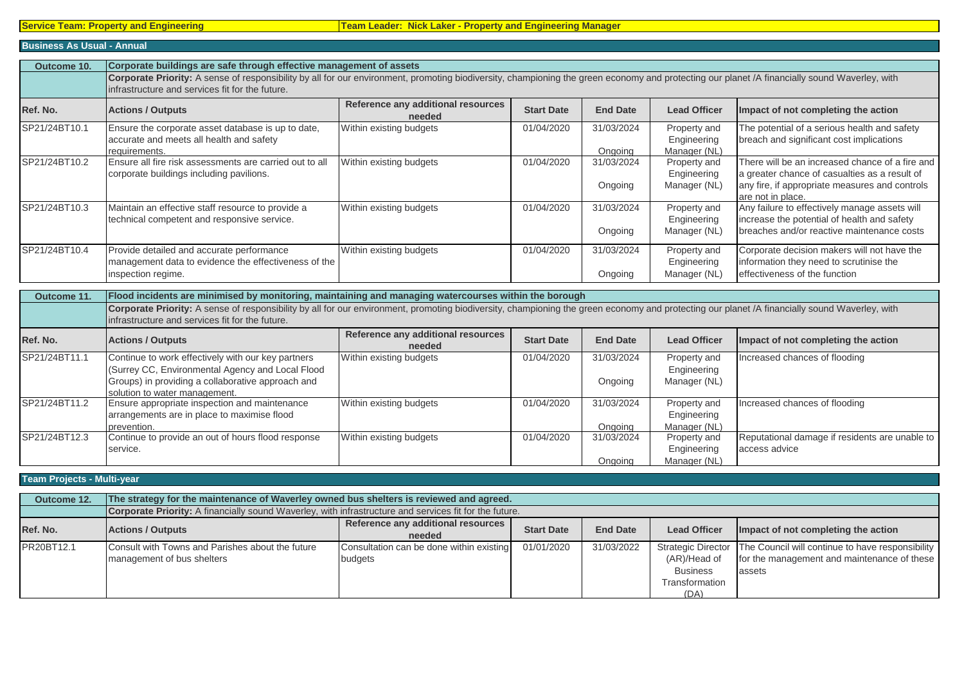## **Business As Usual - Annual**

| Outcome 10.                    | Corporate buildings are safe through effective management of assets                                                                                                                                                                              |                                              |                   |                       |                                             |                                                                                                                                                                 |  |
|--------------------------------|--------------------------------------------------------------------------------------------------------------------------------------------------------------------------------------------------------------------------------------------------|----------------------------------------------|-------------------|-----------------------|---------------------------------------------|-----------------------------------------------------------------------------------------------------------------------------------------------------------------|--|
|                                | Corporate Priority: A sense of responsibility by all for our environment, promoting biodiversity, championing the green economy and protecting our planet /A financially sound Waverley, with<br>infrastructure and services fit for the future. |                                              |                   |                       |                                             |                                                                                                                                                                 |  |
| Ref. No.                       | <b>Actions / Outputs</b>                                                                                                                                                                                                                         | Reference any additional resources<br>needed | <b>Start Date</b> | <b>End Date</b>       | <b>Lead Officer</b>                         | Impact of not completing the action                                                                                                                             |  |
| SP21/24BT10.1                  | Ensure the corporate asset database is up to date,<br>accurate and meets all health and safety<br>requirements.                                                                                                                                  | Within existing budgets                      | 01/04/2020        | 31/03/2024<br>Ongoing | Property and<br>Engineering<br>Manager (NL) | The potential of a serious health and safety<br>breach and significant cost implications                                                                        |  |
| SP21/24BT10.2                  | Ensure all fire risk assessments are carried out to all<br>corporate buildings including pavilions.                                                                                                                                              | Within existing budgets                      | 01/04/2020        | 31/03/2024<br>Ongoing | Property and<br>Engineering<br>Manager (NL) | There will be an increased chance of a fire and<br>a greater chance of casualties as a result of<br>any fire, if appropriate measures and controls              |  |
| SP21/24BT10.3                  | Maintain an effective staff resource to provide a<br>technical competent and responsive service.                                                                                                                                                 | Within existing budgets                      | 01/04/2020        | 31/03/2024<br>Ongoing | Property and<br>Engineering<br>Manager (NL) | are not in place.<br>Any failure to effectively manage assets will<br>increase the potential of health and safety<br>breaches and/or reactive maintenance costs |  |
| SP21/24BT10.4                  | Provide detailed and accurate performance<br>management data to evidence the effectiveness of the<br>inspection regime.                                                                                                                          | Within existing budgets                      | 01/04/2020        | 31/03/2024<br>Ongoing | Property and<br>Engineering<br>Manager (NL) | Corporate decision makers will not have the<br>information they need to scrutinise the<br>effectiveness of the function                                         |  |
| Outcome 11.                    | Flood incidents are minimised by monitoring, maintaining and managing watercourses within the borough                                                                                                                                            |                                              |                   |                       |                                             |                                                                                                                                                                 |  |
|                                | Corporate Priority: A sense of responsibility by all for our environment, promoting biodiversity, championing the green economy and protecting our planet /A financially sound Waverley, with<br>infrastructure and services fit for the future. |                                              |                   |                       |                                             |                                                                                                                                                                 |  |
| D <sub>of</sub> N <sub>o</sub> | Actione / Outpute                                                                                                                                                                                                                                | Reference any additional resources           | $C+$ art Dato     | End Date              | Load Officer                                | llmnact of not comploting the action                                                                                                                            |  |

| Ref. No.      | <b>Actions / Outputs</b>                           | Reference any additional resources<br>needed | <b>Start Date</b> | <b>End Date</b> | <b>Lead Officer</b> | Impact of not completing the action            |
|---------------|----------------------------------------------------|----------------------------------------------|-------------------|-----------------|---------------------|------------------------------------------------|
| SP21/24BT11.1 | Continue to work effectively with our key partners | Within existing budgets                      | 01/04/2020        | 31/03/2024      | Property and        | Increased chances of flooding                  |
|               | (Surrey CC, Environmental Agency and Local Flood)  |                                              |                   |                 | Engineering         |                                                |
|               | Groups) in providing a collaborative approach and  |                                              |                   | Ongoing         | Manager (NL)        |                                                |
|               | solution to water management.                      |                                              |                   |                 |                     |                                                |
| SP21/24BT11.2 | Ensure appropriate inspection and maintenance      | Within existing budgets                      | 01/04/2020        | 31/03/2024      | Property and        | Increased chances of flooding                  |
|               | arrangements are in place to maximise flood        |                                              |                   |                 | Engineering         |                                                |
|               | prevention.                                        |                                              |                   | Ongoing         | Manager (NL)        |                                                |
| SP21/24BT12.3 | Continue to provide an out of hours flood response | Within existing budgets                      | 01/04/2020        | 31/03/2024      | Property and        | Reputational damage if residents are unable to |
|               | service.                                           |                                              |                   |                 | Engineering         | access advice                                  |
|               |                                                    |                                              |                   | Onaoina         | Manager (NL)        |                                                |

# **Team Projects - Multi-year**

| Outcome 12. | The strategy for the maintenance of Waverley owned bus shelters is reviewed and agreed.                |                                                     |                   |                 |                                                           |                                                                                                                                |
|-------------|--------------------------------------------------------------------------------------------------------|-----------------------------------------------------|-------------------|-----------------|-----------------------------------------------------------|--------------------------------------------------------------------------------------------------------------------------------|
|             | Corporate Priority: A financially sound Waverley, with infrastructure and services fit for the future. |                                                     |                   |                 |                                                           |                                                                                                                                |
| Ref. No.    | <b>Actions / Outputs</b>                                                                               | Reference any additional resources<br>needed        | <b>Start Date</b> | <b>End Date</b> | <b>Lead Officer</b>                                       | Impact of not completing the action                                                                                            |
| PR20BT12.1  | Consult with Towns and Parishes about the future<br>management of bus shelters                         | Consultation can be done within existing<br>budgets | 01/01/2020        | 31/03/2022      | (AR)/Head of<br><b>Business</b><br>Transformation<br>(DA) | Strategic Director   The Council will continue to have responsibility<br>for the management and maintenance of these<br>assets |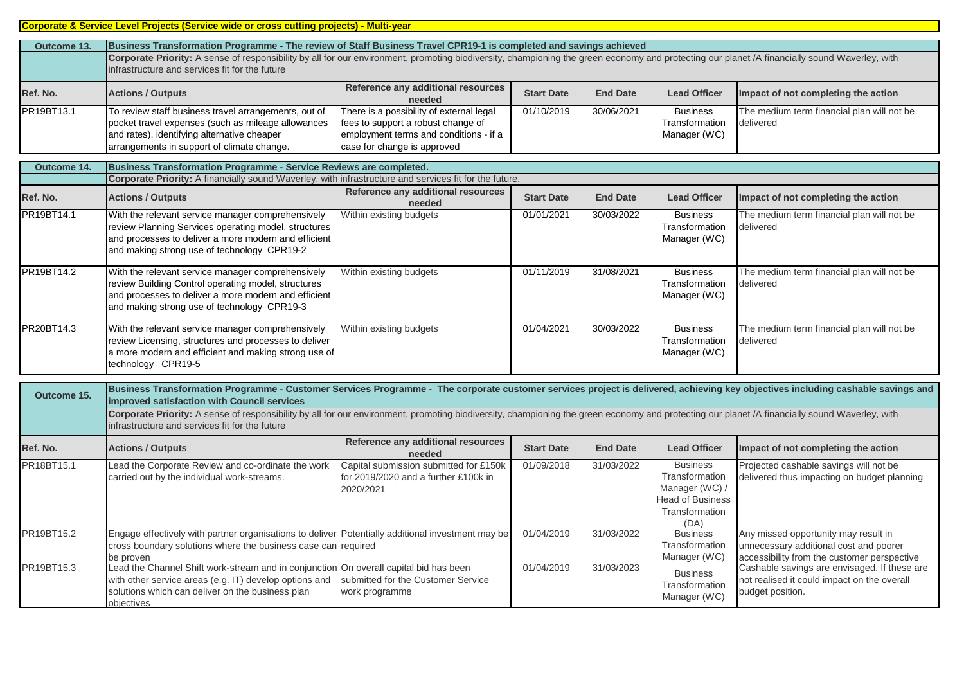# **Corporate & Service Level Projects (Service wide or cross cutting projects) - Multi-year**

| Outcome 13. | Business Transformation Programme - The review of Staff Business Travel CPR19-1 is completed and savings achieved                                                                                                                               |                                                                                                                                                         |                   |                 |                                                   |                                                         |
|-------------|-------------------------------------------------------------------------------------------------------------------------------------------------------------------------------------------------------------------------------------------------|---------------------------------------------------------------------------------------------------------------------------------------------------------|-------------------|-----------------|---------------------------------------------------|---------------------------------------------------------|
|             | Corporate Priority: A sense of responsibility by all for our environment, promoting biodiversity, championing the green economy and protecting our planet /A financially sound Waverley, with<br>infrastructure and services fit for the future |                                                                                                                                                         |                   |                 |                                                   |                                                         |
| Ref. No.    | <b>Actions / Outputs</b>                                                                                                                                                                                                                        | Reference any additional resources<br>needed                                                                                                            | <b>Start Date</b> | <b>End Date</b> | <b>Lead Officer</b>                               | Impact of not completing the action                     |
| PR19BT13.1  | To review staff business travel arrangements, out of<br>pocket travel expenses (such as mileage allowances<br>and rates), identifying alternative cheaper<br>arrangements in support of climate change.                                         | There is a possibility of external legal<br>fees to support a robust change of<br>employment terms and conditions - if a<br>case for change is approved | 01/10/2019        | 30/06/2021      | <b>Business</b><br>Transformation<br>Manager (WC) | The medium term financial plan will not be<br>delivered |

| Outcome 14. | Business Transformation Programme - Service Reviews are completed.                                                                                                                                               |                                              |                   |                 |                                                   |                                                         |
|-------------|------------------------------------------------------------------------------------------------------------------------------------------------------------------------------------------------------------------|----------------------------------------------|-------------------|-----------------|---------------------------------------------------|---------------------------------------------------------|
|             | Corporate Priority: A financially sound Waverley, with infrastructure and services fit for the future.                                                                                                           |                                              |                   |                 |                                                   |                                                         |
| Ref. No.    | <b>Actions / Outputs</b>                                                                                                                                                                                         | Reference any additional resources<br>needed | <b>Start Date</b> | <b>End Date</b> | <b>Lead Officer</b>                               | Impact of not completing the action                     |
| PR19BT14.1  | With the relevant service manager comprehensively<br>review Planning Services operating model, structures<br>and processes to deliver a more modern and efficient<br>and making strong use of technology CPR19-2 | Within existing budgets                      | 01/01/2021        | 30/03/2022      | <b>Business</b><br>Transformation<br>Manager (WC) | The medium term financial plan will not be<br>delivered |
| PR19BT14.2  | With the relevant service manager comprehensively<br>review Building Control operating model, structures<br>and processes to deliver a more modern and efficient<br>and making strong use of technology CPR19-3  | Within existing budgets                      | 01/11/2019        | 31/08/2021      | <b>Business</b><br>Transformation<br>Manager (WC) | The medium term financial plan will not be<br>delivered |
| PR20BT14.3  | With the relevant service manager comprehensively<br>review Licensing, structures and processes to deliver<br>a more modern and efficient and making strong use of<br>technology CPR19-5                         | Within existing budgets                      | 01/04/2021        | 30/03/2022      | <b>Business</b><br>Transformation<br>Manager (WC) | The medium term financial plan will not be<br>delivered |

| Outcome 15. | Business Transformation Programme - Customer Services Programme - The corporate customer services project is delivered, achieving key objectives including cashable savings and<br>improved satisfaction with Council services                  |                                                                                             |                   |                 |                                                                                                          |                                                                                                                               |  |
|-------------|-------------------------------------------------------------------------------------------------------------------------------------------------------------------------------------------------------------------------------------------------|---------------------------------------------------------------------------------------------|-------------------|-----------------|----------------------------------------------------------------------------------------------------------|-------------------------------------------------------------------------------------------------------------------------------|--|
|             | Corporate Priority: A sense of responsibility by all for our environment, promoting biodiversity, championing the green economy and protecting our planet /A financially sound Waverley, with<br>infrastructure and services fit for the future |                                                                                             |                   |                 |                                                                                                          |                                                                                                                               |  |
| Ref. No.    | <b>Actions / Outputs</b>                                                                                                                                                                                                                        | Reference any additional resources<br>needed                                                | <b>Start Date</b> | <b>End Date</b> | <b>Lead Officer</b>                                                                                      | Impact of not completing the action                                                                                           |  |
| PR18BT15.1  | Lead the Corporate Review and co-ordinate the work<br>carried out by the individual work-streams.                                                                                                                                               | Capital submission submitted for £150k<br>for 2019/2020 and a further £100k in<br>2020/2021 | 01/09/2018        | 31/03/2022      | <b>Business</b><br>Transformation<br>Manager (WC) /<br><b>Head of Business</b><br>Transformation<br>(DA) | Projected cashable savings will not be<br>delivered thus impacting on budget planning                                         |  |
| PR19BT15.2  | Engage effectively with partner organisations to deliver Potentially additional investment may be<br>cross boundary solutions where the business case can required<br>be proven                                                                 |                                                                                             | 01/04/2019        | 31/03/2022      | <b>Business</b><br>Transformation<br>Manager (WC)                                                        | Any missed opportunity may result in<br>unnecessary additional cost and poorer<br>accessibility from the customer perspective |  |
| PR19BT15.3  | Lead the Channel Shift work-stream and in conjunction On overall capital bid has been<br>with other service areas (e.g. IT) develop options and<br>solutions which can deliver on the business plan<br><b>objectives</b>                        | submitted for the Customer Service<br>work programme                                        | 01/04/2019        | 31/03/2023      | <b>Business</b><br>Transformation<br>Manager (WC)                                                        | Cashable savings are envisaged. If these are<br>not realised it could impact on the overall<br>budget position.               |  |